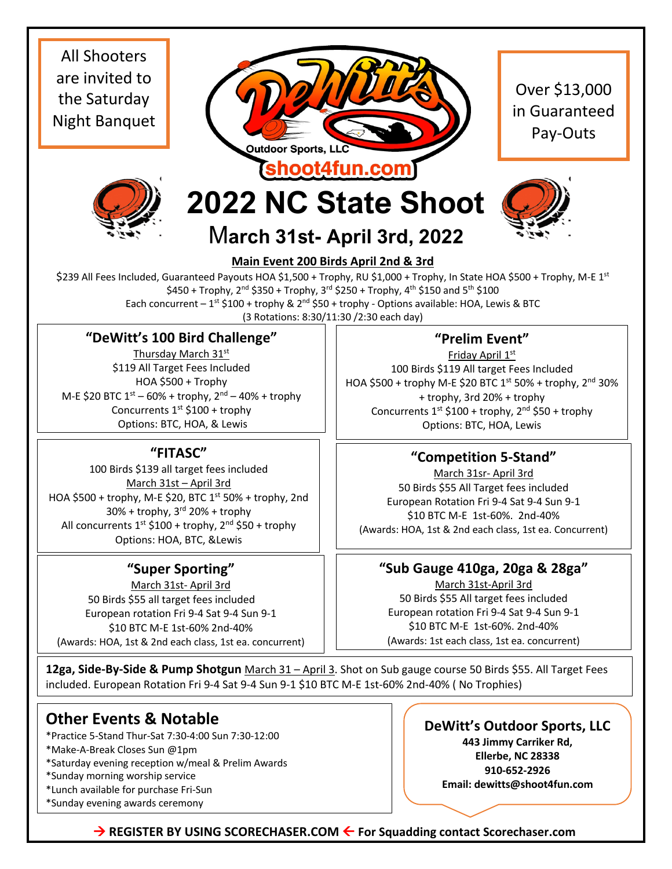All Shooters are invited to the Saturday Night Banquet



Over \$13,000 in Guaranteed Pay-Outs



## **2022 NC State Shoot**

M**arch 31st- April 3rd, 2022**



#### **Main Event 200 Birds April 2nd & 3rd**

\$239 All Fees Included, Guaranteed Payouts HOA \$1,500 + Trophy, RU \$1,000 + Trophy, In State HOA \$500 + Trophy, M-E 1st  $$450 + Trophy, 2<sup>nd</sup> $350 + Trophy, 3<sup>rd</sup> $250 + Trophy, 4<sup>th</sup> $150 and 5<sup>th</sup> $100$ Each concurrent –  $1^{st}$  \$100 + trophy &  $2^{nd}$  \$50 + trophy - Options available: HOA, Lewis & BTC (3 Rotations: 8:30/11:30 /2:30 each day)

#### **"DeWitt's 100 Bird Challenge"**

Thursday March 31st \$119 All Target Fees Included HOA \$500 + Trophy M-E \$20 BTC  $1^{st}$  – 60% + trophy,  $2^{nd}$  – 40% + trophy Concurrents  $1<sup>st</sup>$  \$100 + trophy Options: BTC, HOA, & Lewis

#### **"FITASC"**

100 Birds \$139 all target fees included March 31st – April 3rd HOA \$500 + trophy, M-E \$20, BTC  $1<sup>st</sup>$  50% + trophy, 2nd  $30%$  + trophy,  $3<sup>rd</sup>$  20% + trophy All concurrents  $1^{st}$  \$100 + trophy,  $2^{nd}$  \$50 + trophy Options: HOA, BTC, &Lewis

#### **"Super Sporting"**

March 31st- April 3rd 50 Birds \$55 all target fees included European rotation Fri 9-4 Sat 9-4 Sun 9-1 \$10 BTC M-E 1st-60% 2nd-40% (Awards: HOA, 1st & 2nd each class, 1st ea. concurrent)

### **"Prelim Event"**

Friday April 1st 100 Birds \$119 All target Fees Included HOA \$500 + trophy M-E \$20 BTC 1st 50% + trophy, 2nd 30% + trophy, 3rd 20% + trophy Concurrents  $1^{st}$  \$100 + trophy,  $2^{nd}$  \$50 + trophy Options: BTC, HOA, Lewis

#### **"Competition 5-Stand"**

March 31sr- April 3rd 50 Birds \$55 All Target fees included European Rotation Fri 9-4 Sat 9-4 Sun 9-1 \$10 BTC M-E 1st-60%. 2nd-40% (Awards: HOA, 1st & 2nd each class, 1st ea. Concurrent)

#### **"Sub Gauge 410ga, 20ga & 28ga"**

March 31st-April 3rd 50 Birds \$55 All target fees included European rotation Fri 9-4 Sat 9-4 Sun 9-1 \$10 BTC M-E 1st-60%. 2nd-40% (Awards: 1st each class, 1st ea. concurrent)

**12ga, Side-By-Side & Pump Shotgun** March 31 – April 3. Shot on Sub gauge course 50 Birds \$55. All Target Fees included. European Rotation Fri 9-4 Sat 9-4 Sun 9-1 \$10 BTC M-E 1st-60% 2nd-40% ( No Trophies)

### **Other Events & Notable**

\*Practice 5-Stand Thur-Sat 7:30-4:00 Sun 7:30-12:00

\*Make-A-Break Closes Sun @1pm

\*Saturday evening reception w/meal & Prelim Awards

\*Sunday morning worship service

\*Lunch available for purchase Fri-Sun

\*Sunday evening awards ceremony

**DeWitt's Outdoor Sports, LLC**

**443 Jimmy Carriker Rd, Ellerbe, NC 28338 910-652-2926 Email: dewitts@shoot4fun.com**

 $\rightarrow$  **REGISTER BY USING SCORECHASER.COM ← For Squadding contact Scorechaser.com**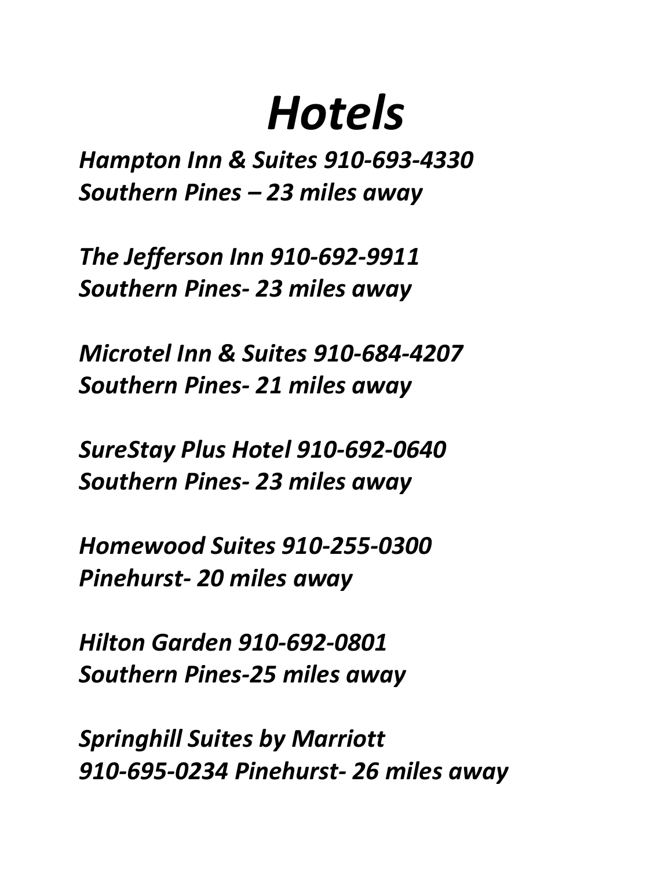# *Hotels*

*Hampton Inn & Suites 910-693-4330 Southern Pines – 23 miles away*

*The Jefferson Inn 910-692-9911 Southern Pines- 23 miles away*

*Microtel Inn & Suites 910-684-4207 Southern Pines- 21 miles away*

*SureStay Plus Hotel 910-692-0640 Southern Pines- 23 miles away*

*Homewood Suites 910-255-0300 Pinehurst- 20 miles away*

*Hilton Garden 910-692-0801 Southern Pines-25 miles away*

*Springhill Suites by Marriott 910-695-0234 Pinehurst- 26 miles away*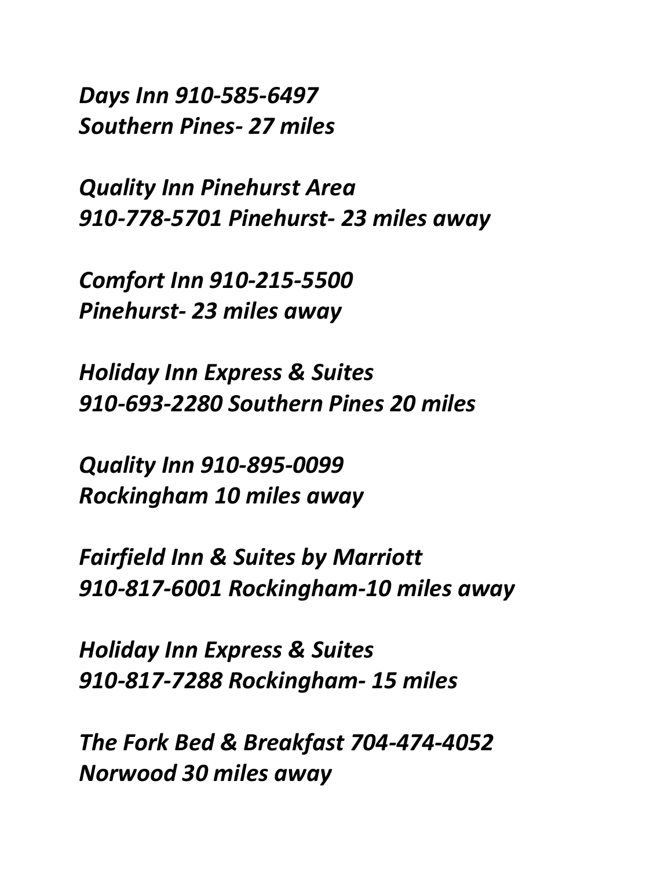*Days Inn 910-585-6497 Southern Pines- 27 miles*

*Quality Inn Pinehurst Area 910-778-5701 Pinehurst- 23 miles away*

*Comfort Inn 910-215-5500 Pinehurst- 23 miles away*

*Holiday Inn Express & Suites 910-693-2280 Southern Pines 20 miles*

*Quality Inn 910-895-0099 Rockingham 10 miles away*

*Fairfield Inn & Suites by Marriott 910-817-6001 Rockingham-10 miles away*

*Holiday Inn Express & Suites 910-817-7288 Rockingham- 15 miles* 

*The Fork Bed & Breakfast 704-474-4052 Norwood 30 miles away*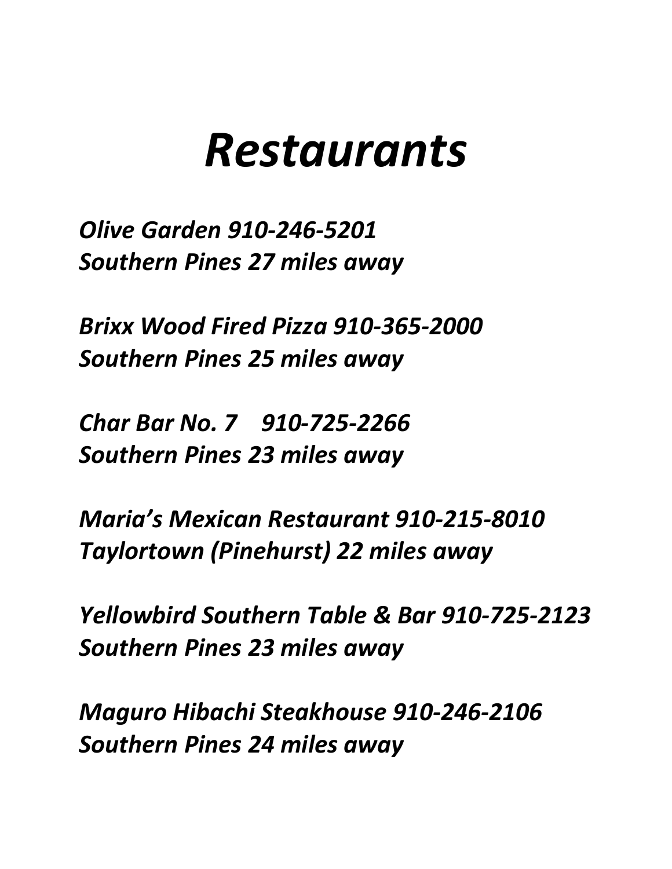# *Restaurants*

*Olive Garden 910-246-5201 Southern Pines 27 miles away*

*Brixx Wood Fired Pizza 910-365-2000 Southern Pines 25 miles away*

*Char Bar No. 7 910-725-2266 Southern Pines 23 miles away*

*Maria's Mexican Restaurant 910-215-8010 Taylortown (Pinehurst) 22 miles away*

*Yellowbird Southern Table & Bar 910-725-2123 Southern Pines 23 miles away*

*Maguro Hibachi Steakhouse 910-246-2106 Southern Pines 24 miles away*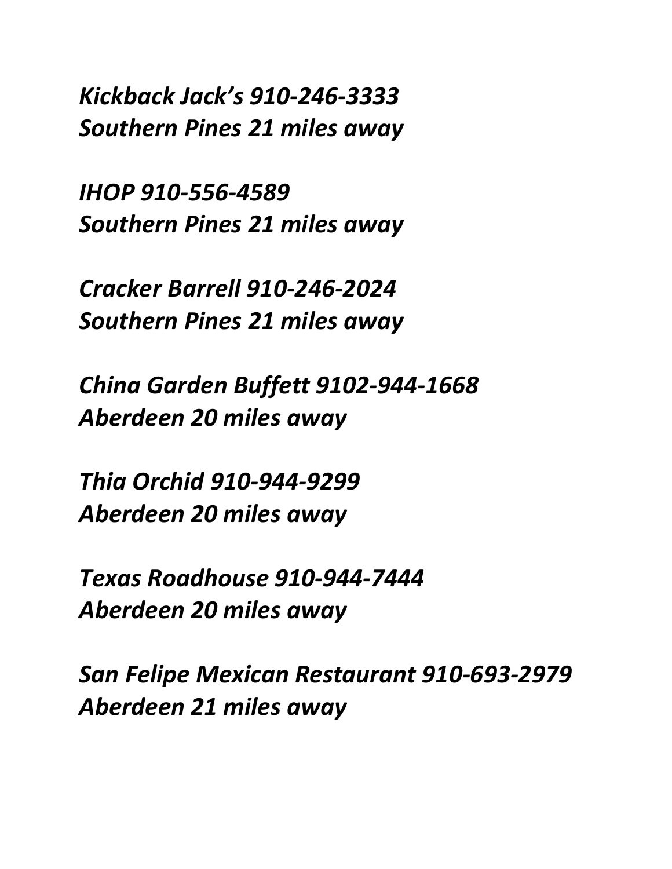*Kickback Jack's 910-246-3333 Southern Pines 21 miles away*

*IHOP 910-556-4589 Southern Pines 21 miles away*

*Cracker Barrell 910-246-2024 Southern Pines 21 miles away*

*China Garden Buffett 9102-944-1668 Aberdeen 20 miles away*

*Thia Orchid 910-944-9299 Aberdeen 20 miles away*

*Texas Roadhouse 910-944-7444 Aberdeen 20 miles away*

*San Felipe Mexican Restaurant 910-693-2979 Aberdeen 21 miles away*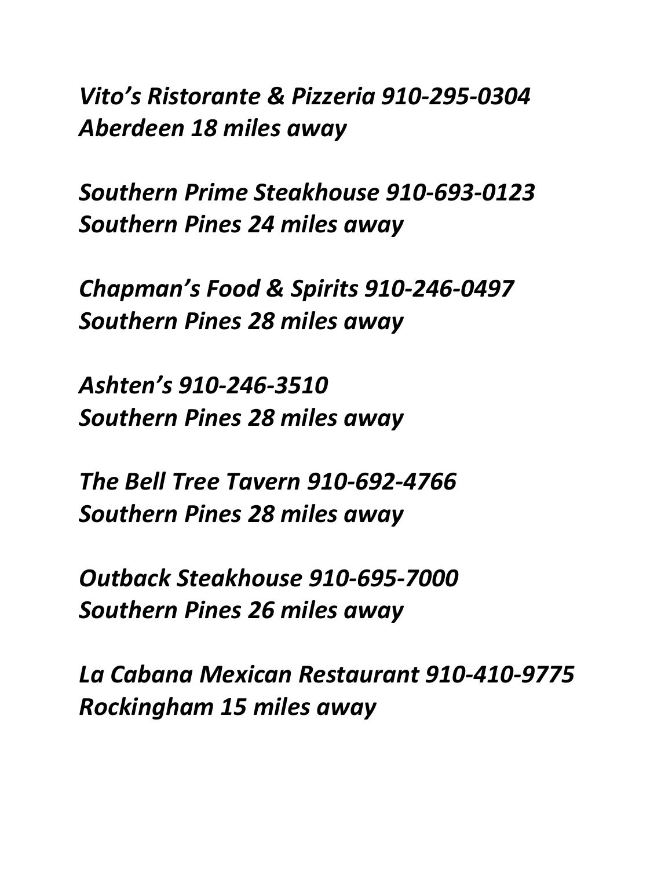*Vito's Ristorante & Pizzeria 910-295-0304 Aberdeen 18 miles away*

*Southern Prime Steakhouse 910-693-0123 Southern Pines 24 miles away*

*Chapman's Food & Spirits 910-246-0497 Southern Pines 28 miles away*

*Ashten's 910-246-3510 Southern Pines 28 miles away*

*The Bell Tree Tavern 910-692-4766 Southern Pines 28 miles away*

*Outback Steakhouse 910-695-7000 Southern Pines 26 miles away*

*La Cabana Mexican Restaurant 910-410-9775 Rockingham 15 miles away*